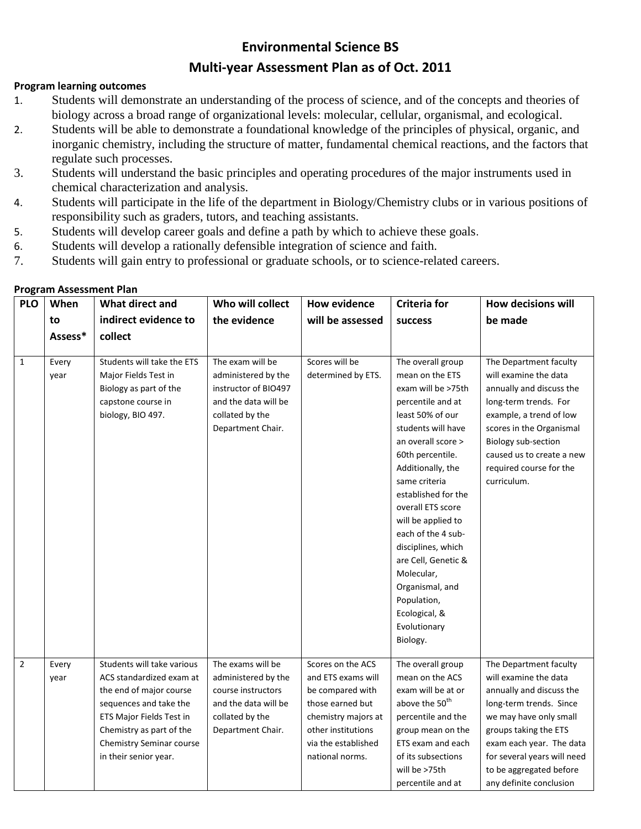## **Environmental Science BS**

## **Multi-year Assessment Plan as of Oct. 2011**

## **Program learning outcomes**

- 1. Students will demonstrate an understanding of the process of science, and of the concepts and theories of biology across a broad range of organizational levels: molecular, cellular, organismal, and ecological.
- 2. Students will be able to demonstrate a foundational knowledge of the principles of physical, organic, and inorganic chemistry, including the structure of matter, fundamental chemical reactions, and the factors that regulate such processes.
- 3. Students will understand the basic principles and operating procedures of the major instruments used in chemical characterization and analysis.
- 4. Students will participate in the life of the department in Biology/Chemistry clubs or in various positions of responsibility such as graders, tutors, and teaching assistants.
- 5. Students will develop career goals and define a path by which to achieve these goals.
- 6. Students will develop a rationally defensible integration of science and faith.
- 7. Students will gain entry to professional or graduate schools, or to science-related careers.

| <b>PLO</b>     | When          | What direct and                                                                                                                                                                                                          | Who will collect                                                                                                                | <b>How evidence</b>                                                                                                                                                    | <b>Criteria for</b>                                                                                                                                                                                                                                                                                                                                                                                                                         | <b>How decisions will</b>                                                                                                                                                                                                                                                  |
|----------------|---------------|--------------------------------------------------------------------------------------------------------------------------------------------------------------------------------------------------------------------------|---------------------------------------------------------------------------------------------------------------------------------|------------------------------------------------------------------------------------------------------------------------------------------------------------------------|---------------------------------------------------------------------------------------------------------------------------------------------------------------------------------------------------------------------------------------------------------------------------------------------------------------------------------------------------------------------------------------------------------------------------------------------|----------------------------------------------------------------------------------------------------------------------------------------------------------------------------------------------------------------------------------------------------------------------------|
|                | to            | indirect evidence to                                                                                                                                                                                                     | the evidence                                                                                                                    | will be assessed                                                                                                                                                       | <b>success</b>                                                                                                                                                                                                                                                                                                                                                                                                                              | be made                                                                                                                                                                                                                                                                    |
|                | Assess*       | collect                                                                                                                                                                                                                  |                                                                                                                                 |                                                                                                                                                                        |                                                                                                                                                                                                                                                                                                                                                                                                                                             |                                                                                                                                                                                                                                                                            |
|                |               |                                                                                                                                                                                                                          |                                                                                                                                 |                                                                                                                                                                        |                                                                                                                                                                                                                                                                                                                                                                                                                                             |                                                                                                                                                                                                                                                                            |
| $\mathbf{1}$   | Every<br>year | Students will take the ETS<br>Major Fields Test in<br>Biology as part of the<br>capstone course in<br>biology, BIO 497.                                                                                                  | The exam will be<br>administered by the<br>instructor of BIO497<br>and the data will be<br>collated by the<br>Department Chair. | Scores will be<br>determined by ETS.                                                                                                                                   | The overall group<br>mean on the ETS<br>exam will be >75th<br>percentile and at<br>least 50% of our<br>students will have<br>an overall score ><br>60th percentile.<br>Additionally, the<br>same criteria<br>established for the<br>overall ETS score<br>will be applied to<br>each of the 4 sub-<br>disciplines, which<br>are Cell, Genetic &<br>Molecular,<br>Organismal, and<br>Population,<br>Ecological, &<br>Evolutionary<br>Biology. | The Department faculty<br>will examine the data<br>annually and discuss the<br>long-term trends. For<br>example, a trend of low<br>scores in the Organismal<br>Biology sub-section<br>caused us to create a new<br>required course for the<br>curriculum.                  |
| $\overline{2}$ | Every<br>year | Students will take various<br>ACS standardized exam at<br>the end of major course<br>sequences and take the<br>ETS Major Fields Test in<br>Chemistry as part of the<br>Chemistry Seminar course<br>in their senior year. | The exams will be<br>administered by the<br>course instructors<br>and the data will be<br>collated by the<br>Department Chair.  | Scores on the ACS<br>and ETS exams will<br>be compared with<br>those earned but<br>chemistry majors at<br>other institutions<br>via the established<br>national norms. | The overall group<br>mean on the ACS<br>exam will be at or<br>above the 50 <sup>th</sup><br>percentile and the<br>group mean on the<br>ETS exam and each<br>of its subsections<br>will be >75th<br>percentile and at                                                                                                                                                                                                                        | The Department faculty<br>will examine the data<br>annually and discuss the<br>long-term trends. Since<br>we may have only small<br>groups taking the ETS<br>exam each year. The data<br>for several years will need<br>to be aggregated before<br>any definite conclusion |

## **Program Assessment Plan**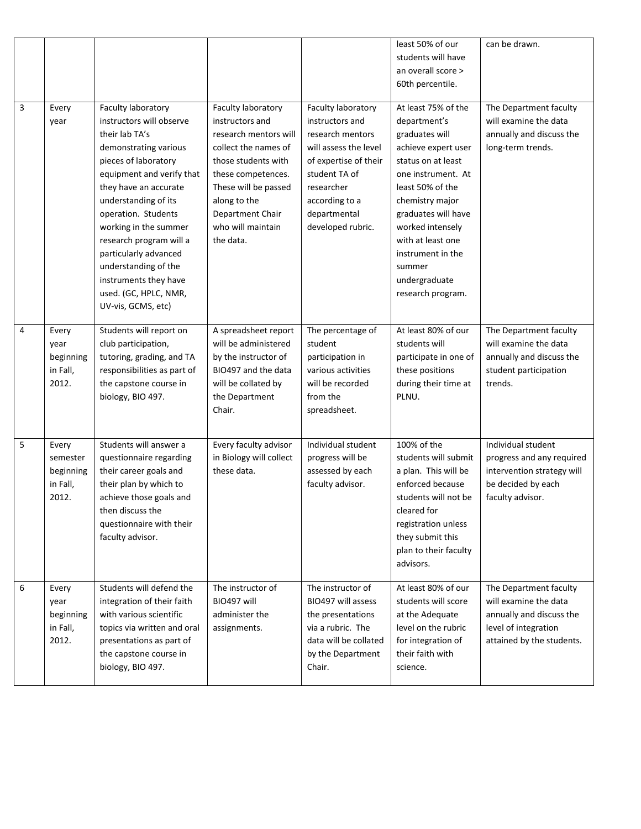|                |                                                     |                                                                                                                                                                                                                                                                                                                                                                                                     |                                                                                                                                                                                                                                   |                                                                                                                                                                                                   | least 50% of our<br>students will have<br>an overall score ><br>60th percentile.                                                                                                                                                                                                                     | can be drawn.                                                                                                                    |
|----------------|-----------------------------------------------------|-----------------------------------------------------------------------------------------------------------------------------------------------------------------------------------------------------------------------------------------------------------------------------------------------------------------------------------------------------------------------------------------------------|-----------------------------------------------------------------------------------------------------------------------------------------------------------------------------------------------------------------------------------|---------------------------------------------------------------------------------------------------------------------------------------------------------------------------------------------------|------------------------------------------------------------------------------------------------------------------------------------------------------------------------------------------------------------------------------------------------------------------------------------------------------|----------------------------------------------------------------------------------------------------------------------------------|
| $\overline{3}$ | Every<br>year                                       | Faculty laboratory<br>instructors will observe<br>their lab TA's<br>demonstrating various<br>pieces of laboratory<br>equipment and verify that<br>they have an accurate<br>understanding of its<br>operation. Students<br>working in the summer<br>research program will a<br>particularly advanced<br>understanding of the<br>instruments they have<br>used. (GC, HPLC, NMR,<br>UV-vis, GCMS, etc) | Faculty laboratory<br>instructors and<br>research mentors will<br>collect the names of<br>those students with<br>these competences.<br>These will be passed<br>along to the<br>Department Chair<br>who will maintain<br>the data. | Faculty laboratory<br>instructors and<br>research mentors<br>will assess the level<br>of expertise of their<br>student TA of<br>researcher<br>according to a<br>departmental<br>developed rubric. | At least 75% of the<br>department's<br>graduates will<br>achieve expert user<br>status on at least<br>one instrument. At<br>least 50% of the<br>chemistry major<br>graduates will have<br>worked intensely<br>with at least one<br>instrument in the<br>summer<br>undergraduate<br>research program. | The Department faculty<br>will examine the data<br>annually and discuss the<br>long-term trends.                                 |
| 4              | Every<br>year<br>beginning<br>in Fall,<br>2012.     | Students will report on<br>club participation,<br>tutoring, grading, and TA<br>responsibilities as part of<br>the capstone course in<br>biology, BIO 497.                                                                                                                                                                                                                                           | A spreadsheet report<br>will be administered<br>by the instructor of<br>BIO497 and the data<br>will be collated by<br>the Department<br>Chair.                                                                                    | The percentage of<br>student<br>participation in<br>various activities<br>will be recorded<br>from the<br>spreadsheet.                                                                            | At least 80% of our<br>students will<br>participate in one of<br>these positions<br>during their time at<br>PLNU.                                                                                                                                                                                    | The Department faculty<br>will examine the data<br>annually and discuss the<br>student participation<br>trends.                  |
| 5              | Every<br>semester<br>beginning<br>in Fall,<br>2012. | Students will answer a<br>questionnaire regarding<br>their career goals and<br>their plan by which to<br>achieve those goals and<br>then discuss the<br>questionnaire with their<br>faculty advisor.                                                                                                                                                                                                | Every faculty advisor<br>in Biology will collect<br>these data.                                                                                                                                                                   | Individual student<br>progress will be<br>assessed by each<br>faculty advisor.                                                                                                                    | 100% of the<br>students will submit<br>a plan. This will be<br>enforced because<br>students will not be<br>cleared for<br>registration unless<br>they submit this<br>plan to their faculty<br>advisors.                                                                                              | Individual student<br>progress and any required<br>intervention strategy will<br>be decided by each<br>faculty advisor.          |
| 6              | Every<br>year<br>beginning<br>in Fall,<br>2012.     | Students will defend the<br>integration of their faith<br>with various scientific<br>topics via written and oral<br>presentations as part of<br>the capstone course in<br>biology, BIO 497.                                                                                                                                                                                                         | The instructor of<br>BIO497 will<br>administer the<br>assignments.                                                                                                                                                                | The instructor of<br>BIO497 will assess<br>the presentations<br>via a rubric. The<br>data will be collated<br>by the Department<br>Chair.                                                         | At least 80% of our<br>students will score<br>at the Adequate<br>level on the rubric<br>for integration of<br>their faith with<br>science.                                                                                                                                                           | The Department faculty<br>will examine the data<br>annually and discuss the<br>level of integration<br>attained by the students. |